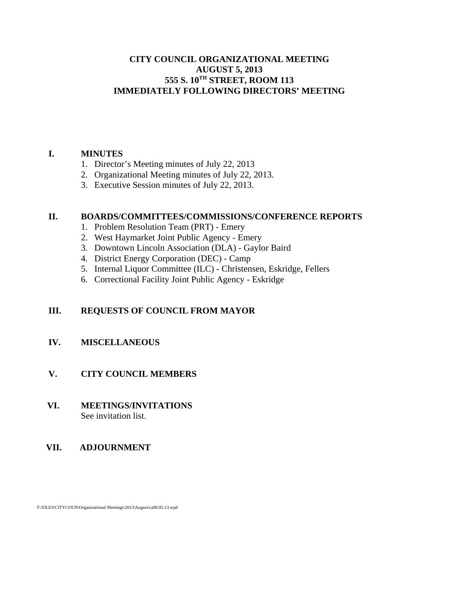## **CITY COUNCIL ORGANIZATIONAL MEETING AUGUST 5, 2013 555 S. 10TH STREET, ROOM 113 IMMEDIATELY FOLLOWING DIRECTORS' MEETING**

## **I. MINUTES**

- 1. Director's Meeting minutes of July 22, 2013
- 2. Organizational Meeting minutes of July 22, 2013.
- 3. Executive Session minutes of July 22, 2013.

## **II. BOARDS/COMMITTEES/COMMISSIONS/CONFERENCE REPORTS**

- 1. Problem Resolution Team (PRT) Emery
- 2. West Haymarket Joint Public Agency Emery
- 3. Downtown Lincoln Association (DLA) Gaylor Baird
- 4. District Energy Corporation (DEC) Camp
- 5. Internal Liquor Committee (ILC) Christensen, Eskridge, Fellers
- 6. Correctional Facility Joint Public Agency Eskridge

## **III. REQUESTS OF COUNCIL FROM MAYOR**

## **IV. MISCELLANEOUS**

## **V. CITY COUNCIL MEMBERS**

 **VI. MEETINGS/INVITATIONS** See invitation list.

## **VII. ADJOURNMENT**

F:\FILES\CITYCOUN\Organizational Meetings\2013\August\ca08.05.13.wpd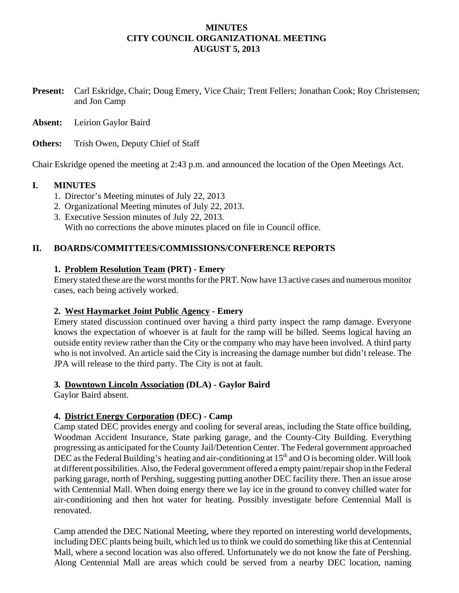## **MINUTES CITY COUNCIL ORGANIZATIONAL MEETING AUGUST 5, 2013**

**Present:** Carl Eskridge, Chair; Doug Emery, Vice Chair; Trent Fellers; Jonathan Cook; Roy Christensen; and Jon Camp

**Absent:** Leirion Gaylor Baird

**Others:** Trish Owen, Deputy Chief of Staff

Chair Eskridge opened the meeting at 2:43 p.m. and announced the location of the Open Meetings Act.

#### **I. MINUTES**

- 1. Director's Meeting minutes of July 22, 2013
- 2. Organizational Meeting minutes of July 22, 2013.
- 3. Executive Session minutes of July 22, 2013. With no corrections the above minutes placed on file in Council office.

## **II. BOARDS/COMMITTEES/COMMISSIONS/CONFERENCE REPORTS**

#### **1. Problem Resolution Team (PRT) - Emery**

Emery stated these are the worst months for the PRT. Now have 13 active cases and numerous monitor cases, each being actively worked.

## **2. West Haymarket Joint Public Agency - Emery**

Emery stated discussion continued over having a third party inspect the ramp damage. Everyone knows the expectation of whoever is at fault for the ramp will be billed. Seems logical having an outside entity review rather than the City or the company who may have been involved. A third party who is not involved. An article said the City is increasing the damage number but didn't release. The JPA will release to the third party. The City is not at fault.

## **3. Downtown Lincoln Association (DLA) - Gaylor Baird**

Gaylor Baird absent.

## **4. District Energy Corporation (DEC) - Camp**

Camp stated DEC provides energy and cooling for several areas, including the State office building, Woodman Accident Insurance, State parking garage, and the County-City Building. Everything progressing as anticipated for the County Jail/Detention Center. The Federal government approached DEC as the Federal Building's heating and air-conditioning at  $15<sup>th</sup>$  and O is becoming older. Will look at different possibilities. Also, the Federal government offered a empty paint/repair shop in the Federal parking garage, north of Pershing, suggesting putting another DEC facility there. Then an issue arose with Centennial Mall. When doing energy there we lay ice in the ground to convey chilled water for air-conditioning and then hot water for heating. Possibly investigate before Centennial Mall is renovated.

Camp attended the DEC National Meeting, where they reported on interesting world developments, including DEC plants being built, which led us to think we could do something like this at Centennial Mall, where a second location was also offered. Unfortunately we do not know the fate of Pershing. Along Centennial Mall are areas which could be served from a nearby DEC location, naming